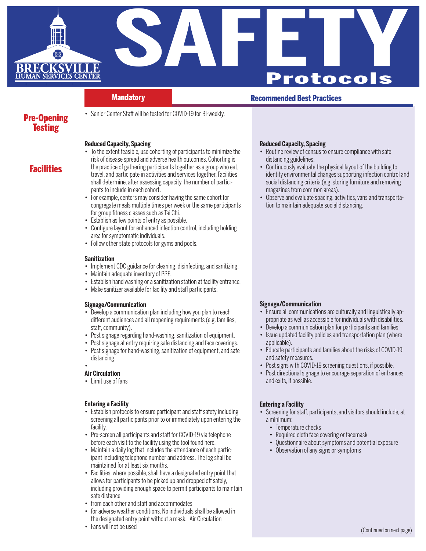

### **Mandatory Recommended Best Practices**

# Pre-Opening

**Facilities** 

**Testing** 

• Senior Center Staff will be tested for COVID-19 for Bi-weekly.

#### **Reduced Capacity, Spacing**

- To the extent feasible, use cohorting of participants to minimize the risk of disease spread and adverse health outcomes. Cohorting is the practice of gathering participants together as a group who eat,
- travel, and participate in activities and services together. Facilities shall determine, after assessing capacity, the number of participants to include in each cohort.
- For example, centers may consider having the same cohort for congregate meals multiple times per week or the same participants for group fitness classes such as Tai Chi.
- Establish as few points of entry as possible.
- Configure layout for enhanced infection control, including holding area for symptomatic individuals.
- Follow other state protocols for gyms and pools.

#### **Sanitization**

- Implement CDC guidance for cleaning, disinfecting, and sanitizing.
- Maintain adequate inventory of PPE.
- Establish hand washing or a sanitization station at facility entrance.
- Make sanitizer available for facility and staff participants.

#### **Signage/Communication**

- Develop a communication plan including how you plan to reach different audiences and all reopening requirements (e.g. families, staff, community).
- Post signage regarding hand-washing, sanitization of equipment,
- Post signage at entry requiring safe distancing and face coverings.
- Post signage for hand-washing, sanitization of equipment, and safe distancing.

#### • **Air Circulation**

• Limit use of fans

### **Entering a Facility**

- Establish protocols to ensure participant and staff safety including screening all participants prior to or immediately upon entering the facility.
- Pre-screen all participants and staff for COVID-19 via telephone before each visit to the facility using the tool found here.
- Maintain a daily log that includes the attendance of each participant including telephone number and address. The log shall be maintained for at least six months.
- Facilities, where possible, shall have a designated entry point that allows for participants to be picked up and dropped off safely, including providing enough space to permit participants to maintain safe distance
- from each other and staff and accommodates
- for adverse weather conditions. No individuals shall be allowed in the designated entry point without a mask. Air Circulation
- Fans will not be used

### **Reduced Capacity, Spacing**

- Routine review of census to ensure compliance with safe distancing guidelines.
- Continuously evaluate the physical layout of the building to identify environmental changes supporting infection control and social distancing criteria (e.g. storing furniture and removing magazines from common areas).
- Observe and evaluate spacing, activities, vans and transportation to maintain adequate social distancing.

### **Signage/Communication**

- Ensure all communications are culturally and linguistically appropriate as well as accessible for individuals with disabilities.
- Develop a communication plan for participants and families
- Issue updated facility policies and transportation plan (where applicable).
- Educate participants and families about the risks of COVID-19 and safety measures.
- Post signs with COVID-19 screening questions, if possible.
- Post directional signage to encourage separation of entrances and exits, if possible.

#### **Entering a Facility**

- Screening for staff, participants, and visitors should include, at a minimum:
	- Temperature checks
	- Required cloth face covering or facemask
	- Questionnaire about symptoms and potential exposure
	- Observation of any signs or symptoms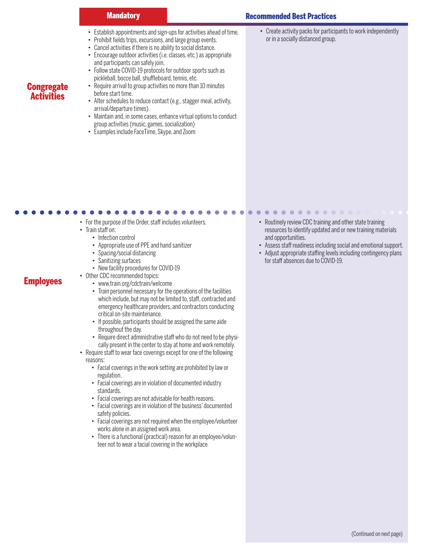- Establish appointments and sign-ups for activities ahead of time.
- Prohibit fields trips, excursions, and large group events.
- Cancel activities if there is no ability to social distance.
- Encourage outdoor activities (i.e. classes, etc.) as appropriate and participants can safely join.
- Follow state COVID-19 protocols for outdoor sports such as pickleball, bocce ball, shuffleboard, tennis, etc.
- Require arrival to group activities no more than 10 minutes before start time.
- Alter schedules to reduce contact (e.g., stagger meal, activity, arrival/departure times).
- Maintain and, in some cases, enhance virtual options to conduct group activities (music, games, socialization)
- Examples include FaceTime, Skype, and Zoom
- **CHILD Mandatory**<br> **CHILD CARE Manufatory**<br>
Sish appointments and sign-ups for activities ahead of time.<br>
Sit fields trips, excursions, and large group events.<br>
Plactivities if there is no ability to social distance.<br>
Plac • Create activity packs for participants to work independently or in a socially distanced group.

## **Congregate Activities**

- - For the purpose of the Order, staff includes volunteers.

### • Train staff on:

- Infection control
- Appropriate use of PPE and hand sanitizer
- Spacing/social distancing
- Sanitizing surfaces
- New facility procedures for COVID-19
- **Employees**
- Other CDC recommended topics:
	- www.train.org/cdctrain/welcome
	- Train personnel necessary for the operations of the facilities which include, but may not be limited to, staff, contracted and emergency healthcare providers, and contractors conducting critical on-site maintenance.
	- If possible, participants should be assigned the same aide throughout the day.
	- Require direct administrative staff who do not need to be physically present in the center to stay at home and work remotely.
- Require staff to wear face coverings except for one of the following reasons:
	- Facial coverings in the work setting are prohibited by law or regulation.
	- Facial coverings are in violation of documented industry standards.
	- Facial coverings are not advisable for health reasons.
	- Facial coverings are in violation of the business' documented safety policies.
	- Facial coverings are not required when the employee/volunteer works alone in an assigned work area.
	- There is a functional (practical) reason for an employee/volunteer not to wear a facial covering in the workplace
- Routinely review CDC training and other state training resources to identify updated and or new training materials and opportunities.
- Assess staff readiness including social and emotional support.
- Adjust appropriate staffing levels including contingency plans for staff absences due to COVID-19.